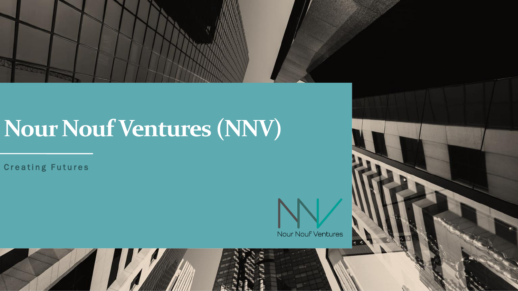

## **Nour Nouf Ventures (NNV)**

**Creating Futures** 

Nour Nouf Ventures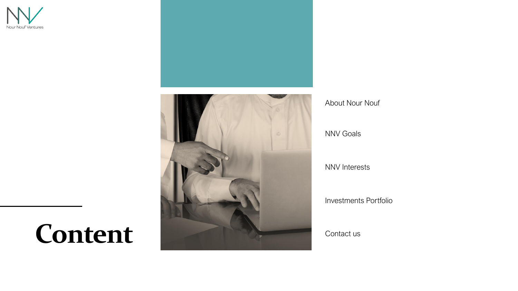



About Nour Nouf

NNV Goals

NNV Interests

Investments Portfolio

Contact us

### **Content**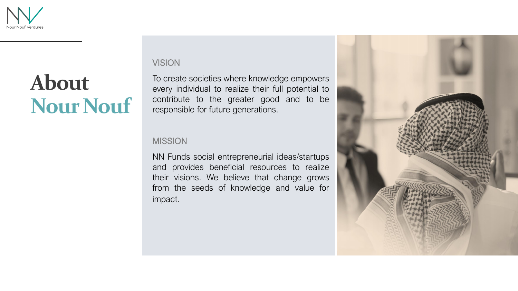

### **About Nour Nouf**

#### VISION

To create societies where knowledge empowers every individual to realize their full potential to contribute to the greater good and to be responsible for future generations.

#### **MISSION**

NN Funds social entrepreneurial ideas/startups and provides beneficial resources to realize their visions. We believe that change grows from the seeds of knowledge and value for impact.

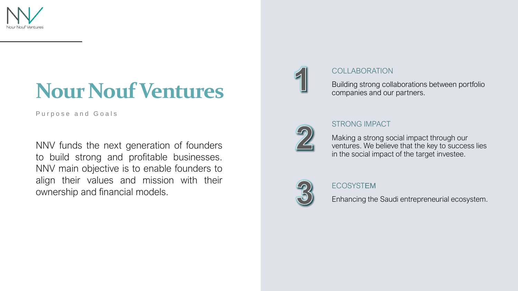

### **Nour Nouf Ventures**

Purpose and Goals

NNV funds the next generation of founders to build strong and profitable businesses. NNV main objective is to enable founders to align their values and mission with their ownership and financial models.



#### COLLABORATION

Building strong collaborations between portfolio companies and our partners.



#### STRONG IMPACT

Making a strong social impact through our ventures. We believe that the key to success lies in the social impact of the target investee.



#### ECOSYSTEM

Enhancing the Saudi entrepreneurial ecosystem.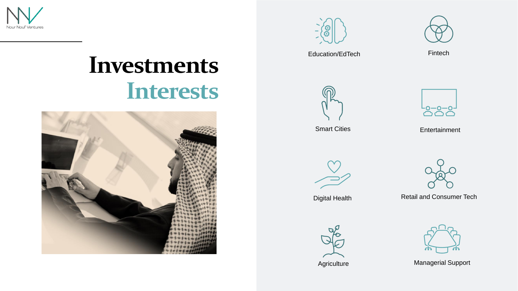





Education/EdTech Fintech







Smart Cities **Entertainment** 



Digital Health



Retail and Consumer Tech







Agriculture Managerial Support

### **Investments Interests**

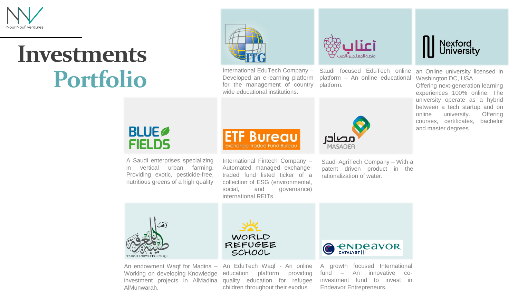

### **Investments Portfolio**



for the management of country platform. wide educational institutions.



International EduTech Company - Saudi focused EduTech online Developed an e-learning platform platform - An online educational



Nexford<br>University

an Online university licensed in Washington DC, USA.

Offering next-generation learning experiences 100% online. The university operate as a hybrid between a tech startup and on online university. Offering courses, certificates, bachelor and master degrees .

### **BLUE FIELDS**

A Saudi enterprises specializing in vertical urban farming. Providing exotic, pesticide-free, nutritious greens of a high quality



International Fintech Company – Automated managed exchangetraded fund listed ticker of a collection of ESG (environmental, social, and governance) international REITs.

Saudi AgriTech Company – With a patent driven product in the rationalization of water.



investment projects in AlMadina quality education for refugee Working on developing Knowledge education AlMunwarah.



An endowment Waqf for Madina - An EduTech Waqf - An online platform providing children throughout their exodus.



A growth focused International fund – An innovative coinvestment fund to invest in Endeavor Entrepreneurs.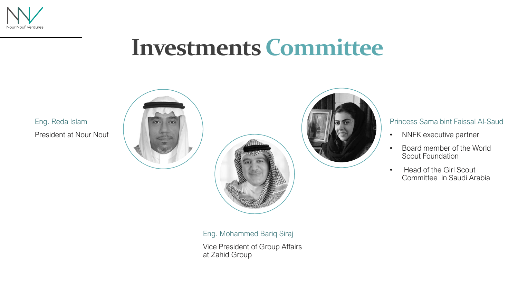

### **Investments Committee**

President at Nour Nouf Eng. Reda Islam



#### Princess Sama bint Faissal Al-Saud

- NNFK executive partner
- Board member of the World Scout Foundation
- Head of the Girl Scout Committee in Saudi Arabia

Eng. Mohammed Bariq Siraj

Vice President of Group Affairs at Zahid Group